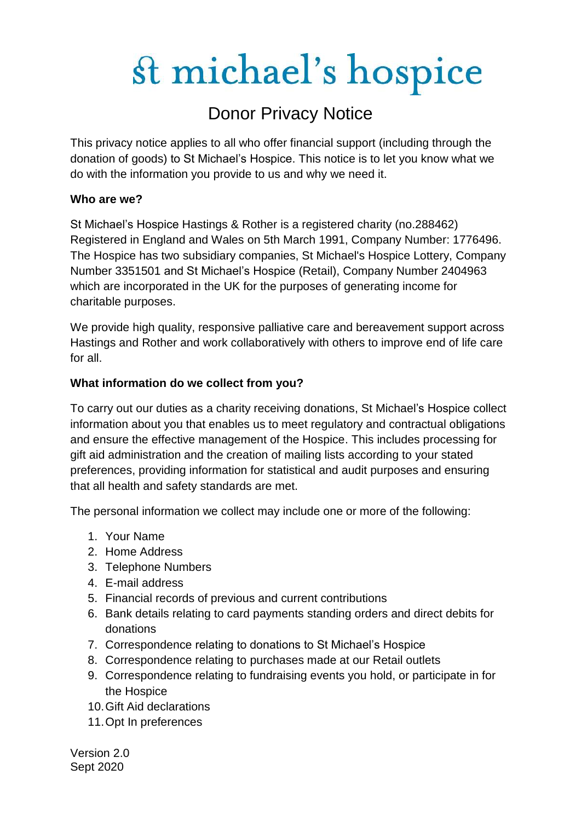## Donor Privacy Notice

This privacy notice applies to all who offer financial support (including through the donation of goods) to St Michael's Hospice. This notice is to let you know what we do with the information you provide to us and why we need it.

### **Who are we?**

St Michael's Hospice Hastings & Rother is a registered charity (no.288462) Registered in England and Wales on 5th March 1991, Company Number: 1776496. The Hospice has two subsidiary companies, St Michael's Hospice Lottery, Company Number 3351501 and St Michael's Hospice (Retail), Company Number 2404963 which are incorporated in the UK for the purposes of generating income for charitable purposes.

We provide high quality, responsive palliative care and bereavement support across Hastings and Rother and work collaboratively with others to improve end of life care for all.

### **What information do we collect from you?**

To carry out our duties as a charity receiving donations, St Michael's Hospice collect information about you that enables us to meet regulatory and contractual obligations and ensure the effective management of the Hospice. This includes processing for gift aid administration and the creation of mailing lists according to your stated preferences, providing information for statistical and audit purposes and ensuring that all health and safety standards are met.

The personal information we collect may include one or more of the following:

- 1. Your Name
- 2. Home Address
- 3. Telephone Numbers
- 4. E-mail address
- 5. Financial records of previous and current contributions
- 6. Bank details relating to card payments standing orders and direct debits for donations
- 7. Correspondence relating to donations to St Michael's Hospice
- 8. Correspondence relating to purchases made at our Retail outlets
- 9. Correspondence relating to fundraising events you hold, or participate in for the Hospice
- 10.Gift Aid declarations
- 11.Opt In preferences

Version 2.0 Sept 2020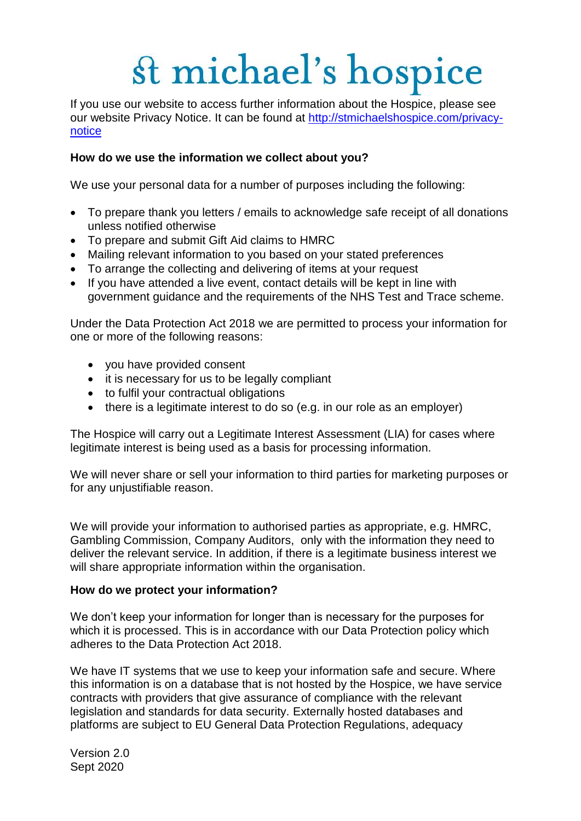If you use our website to access further information about the Hospice, please see our website Privacy Notice. It can be found at [http://stmichaelshospice.com/privacy](http://stmichaelshospice.com/privacy-notice)[notice](http://stmichaelshospice.com/privacy-notice)

### **How do we use the information we collect about you?**

We use your personal data for a number of purposes including the following:

- To prepare thank you letters / emails to acknowledge safe receipt of all donations unless notified otherwise
- To prepare and submit Gift Aid claims to HMRC
- Mailing relevant information to you based on your stated preferences
- To arrange the collecting and delivering of items at your request
- If you have attended a live event, contact details will be kept in line with government guidance and the requirements of the NHS Test and Trace scheme.

Under the Data Protection Act 2018 we are permitted to process your information for one or more of the following reasons:

- you have provided consent
- it is necessary for us to be legally compliant
- to fulfil your contractual obligations
- there is a legitimate interest to do so (e.g. in our role as an employer)

The Hospice will carry out a Legitimate Interest Assessment (LIA) for cases where legitimate interest is being used as a basis for processing information.

We will never share or sell your information to third parties for marketing purposes or for any unjustifiable reason.

We will provide your information to authorised parties as appropriate, e.g. HMRC, Gambling Commission, Company Auditors, only with the information they need to deliver the relevant service. In addition, if there is a legitimate business interest we will share appropriate information within the organisation.

#### **How do we protect your information?**

We don't keep your information for longer than is necessary for the purposes for which it is processed. This is in accordance with our Data Protection policy which adheres to the Data Protection Act 2018.

We have IT systems that we use to keep your information safe and secure. Where this information is on a database that is not hosted by the Hospice, we have service contracts with providers that give assurance of compliance with the relevant legislation and standards for data security. Externally hosted databases and platforms are subject to EU General Data Protection Regulations, adequacy

Version 2.0 Sept 2020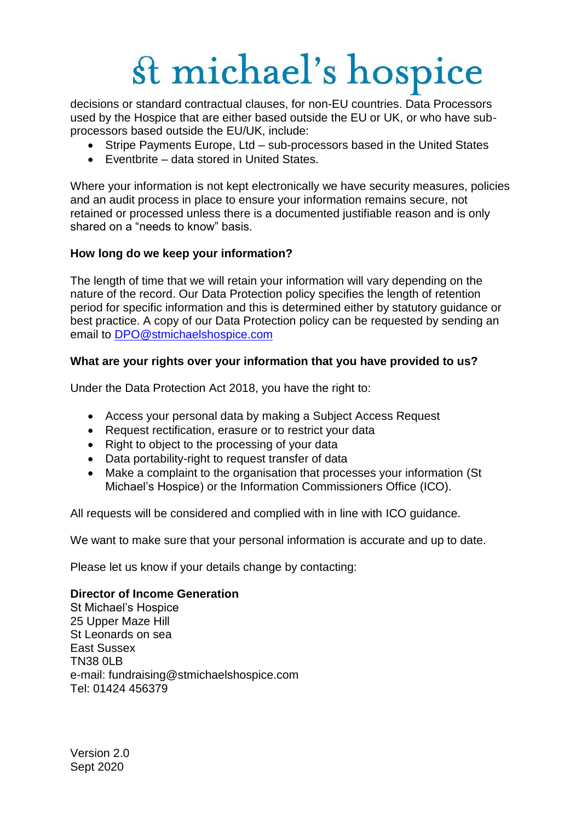decisions or standard contractual clauses, for non-EU countries. Data Processors used by the Hospice that are either based outside the EU or UK, or who have subprocessors based outside the EU/UK, include:

- Stripe Payments Europe, Ltd sub-processors based in the United States
- Eventbrite data stored in United States.

Where your information is not kept electronically we have security measures, policies and an audit process in place to ensure your information remains secure, not retained or processed unless there is a documented justifiable reason and is only shared on a "needs to know" basis.

### **How long do we keep your information?**

The length of time that we will retain your information will vary depending on the nature of the record. Our Data Protection policy specifies the length of retention period for specific information and this is determined either by statutory guidance or best practice. A copy of our Data Protection policy can be requested by sending an email to [DPO@stmichaelshospice.com](mailto:DPO@stmichaelshospice.com)

### **What are your rights over your information that you have provided to us?**

Under the Data Protection Act 2018, you have the right to:

- Access your personal data by making a Subject Access Request
- Request rectification, erasure or to restrict your data
- Right to object to the processing of your data
- Data portability-right to request transfer of data
- Make a complaint to the organisation that processes your information (St Michael's Hospice) or the Information Commissioners Office (ICO).

All requests will be considered and complied with in line with ICO guidance.

We want to make sure that your personal information is accurate and up to date.

Please let us know if your details change by contacting:

#### **Director of Income Generation**

St Michael's Hospice 25 Upper Maze Hill St Leonards on sea East Sussex TN38 0LB e-mail: fundraising@stmichaelshospice.com Tel: 01424 456379